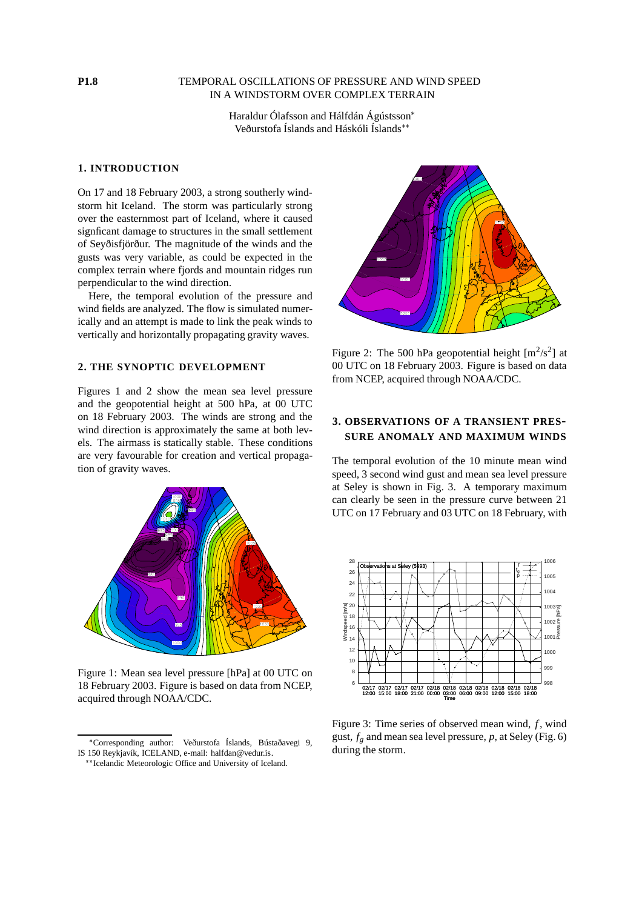### **P1.8** TEMPORAL OSCILLATIONS OF PRESSURE AND WIND SPEED IN A WINDSTORM OVER COMPLEX TERRAIN

Haraldur Ólafsson and Hálfdán Ágústsson Veðurstofa Íslands and Háskóli Íslands

#### **1. INTRODUCTION**

On 17 and 18 February 2003, a strong southerly windstorm hit Iceland. The storm was particularly strong over the easternmost part of Iceland, where it caused signficant damage to structures in the small settlement of Seyðisfjörður. The magnitude of the winds and the gusts was very variable, as could be expected in the complex terrain where fjords and mountain ridges run perpendicular to the wind direction.

Here, the temporal evolution of the pressure and wind fields are analyzed. The flow is simulated numerically and an attempt is made to link the peak winds to vertically and horizontally propagating gravity waves.

### **2. THE SYNOPTIC DEVELOPMENT**

Figures 1 and 2 show the mean sea level pressure and the geopotential height at 500 hPa, at 00 UTC on 18 February 2003. The winds are strong and the wind direction is approximately the same at both levels. The airmass is statically stable. These conditions are very favourable for creation and vertical propagation of gravity waves.



Figure 1: Mean sea level pressure [hPa] at 00 UTC on 18 February 2003. Figure is based on data from NCEP, acquired through NOAA/CDC.



Figure 2: The 500 hPa geopotential height  $[m^2/s^2]$  at 00 UTC on 18 February 2003. Figure is based on data from NCEP, acquired through NOAA/CDC.

# **3. OBSERVATIONS OF A TRANSIENT PRES-SURE ANOMALY AND MAXIMUM WINDS**

The temporal evolution of the 10 minute mean wind speed, 3 second wind gust and mean sea level pressure at Seley is shown in Fig. 3. A temporary maximum can clearly be seen in the pressure curve between 21 UTC on 17 February and 03 UTC on 18 February, with



Figure 3: Time series of observed mean wind, *f*, wind gust,  $f_g$  and mean sea level pressure,  $p$ , at Seley (Fig. 6) during the storm.

<sup>-</sup> Corresponding author: Veðurstofa Íslands, Bústaðavegi 9, IS 150 Reykjavík, ICELAND, e-mail: halfdan@vedur.is.

<sup>\*\*</sup> Icelandic Meteorologic Office and University of Iceland.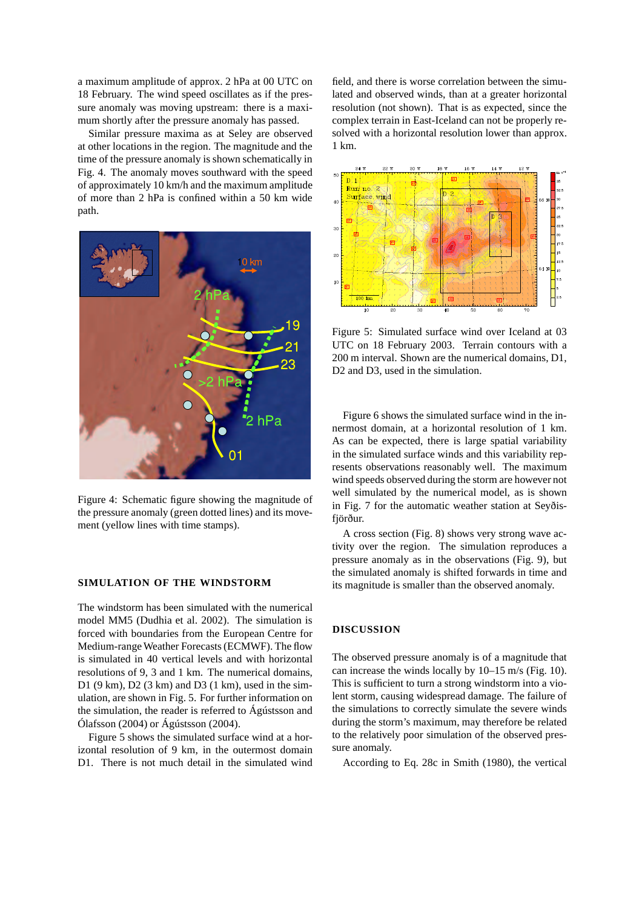a maximum amplitude of approx. 2 hPa at 00 UTC on 18 February. The wind speed oscillates as if the pressure anomaly was moving upstream: there is a maximum shortly after the pressure anomaly has passed.

Similar pressure maxima as at Seley are observed at other locations in the region. The magnitude and the time of the pressure anomaly is shown schematically in Fig. 4. The anomaly moves southward with the speed of approximately 10 km/h and the maximum amplitude of more than 2 hPa is confined within a 50 km wide path.



Figure 4: Schematic figure showing the magnitude of the pressure anomaly (green dotted lines) and its movement (yellow lines with time stamps).

## **SIMULATION OF THE WINDSTORM**

The windstorm has been simulated with the numerical model MM5 (Dudhia et al. 2002). The simulation is forced with boundaries from the European Centre for Medium-rangeWeather Forecasts(ECMWF). The flow is simulated in 40 vertical levels and with horizontal resolutions of 9, 3 and 1 km. The numerical domains, D1 (9 km), D2 (3 km) and D3 (1 km), used in the simulation, are shown in Fig. 5. For further information on the simulation, the reader is referred to Ágústsson and Ólafsson (2004) or Ágústsson (2004).

Figure 5 shows the simulated surface wind at a horizontal resolution of 9 km, in the outermost domain D1. There is not much detail in the simulated wind field, and there is worse correlation between the simulated and observed winds, than at a greater horizontal resolution (not shown). That is as expected, since the complex terrain in East-Iceland can not be properly resolved with a horizontal resolution lower than approx. 1 km.



Figure 5: Simulated surface wind over Iceland at 03 UTC on 18 February 2003. Terrain contours with a 200 m interval. Shown are the numerical domains, D1, D<sub>2</sub> and D<sub>3</sub>, used in the simulation.

Figure 6 shows the simulated surface wind in the innermost domain, at a horizontal resolution of 1 km. As can be expected, there is large spatial variability in the simulated surface winds and this variability represents observations reasonably well. The maximum wind speeds observed during the storm are however not well simulated by the numerical model, as is shown in Fig. 7 for the automatic weather station at Seyðisfjörður.

A cross section (Fig. 8) shows very strong wave activity over the region. The simulation reproduces a pressure anomaly as in the observations (Fig. 9), but the simulated anomaly is shifted forwards in time and its magnitude is smaller than the observed anomaly.

#### **DISCUSSION**

The observed pressure anomaly is of a magnitude that can increase the winds locally by 10–15 m/s (Fig. 10). This is sufficient to turn a strong windstorm into a violent storm, causing widespread damage. The failure of the simulations to correctly simulate the severe winds during the storm's maximum, may therefore be related to the relatively poor simulation of the observed pressure anomaly.

According to Eq. 28c in Smith (1980), the vertical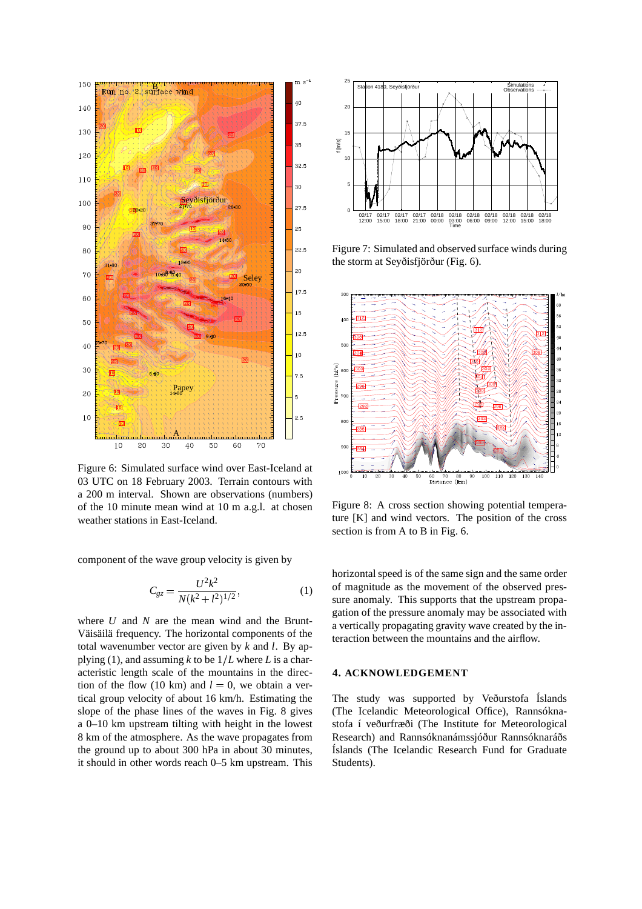

Figure 6: Simulated surface wind over East-Iceland at 03 UTC on 18 February 2003. Terrain contours with a 200 m interval. Shown are observations (numbers) of the 10 minute mean wind at 10 m a.g.l. at chosen weather stations in East-Iceland.

component of the wave group velocity is given by

$$
C_{gz} = \frac{U^2 k^2}{N(k^2 + l^2)^{1/2}},\tag{1}
$$

where *U* and *N* are the mean wind and the Brunt-Väisäilä frequency. The horizontal components of the total wavenumber vector are given by *k* and *l*. By applying (1), and assuming  $k$  to be  $1/L$  where  $L$  is a characteristic length scale of the mountains in the direction of the flow (10 km) and  $l = 0$ , we obtain a vertical group velocity of about 16 km/h. Estimating the slope of the phase lines of the waves in Fig. 8 gives a 0–10 km upstream tilting with height in the lowest 8 km of the atmosphere. As the wave propagates from the ground up to about 300 hPa in about 30 minutes, it should in other words reach 0–5 km upstream. This



Figure 7: Simulated and observed surface winds during the storm at Seyðisfjörður (Fig. 6).



Figure 8: A cross section showing potential temperature [K] and wind vectors. The position of the cross section is from A to B in Fig. 6.

horizontal speed is of the same sign and the same order of magnitude as the movement of the observed pressure anomaly. This supports that the upstream propagation of the pressure anomaly may be associated with a vertically propagating gravity wave created by the interaction between the mountains and the airflow.

## **4. ACKNOWLEDGEMENT**

The study was supported by Veðurstofa Íslands (The Icelandic Meteorological Office), Rannsóknastofa í veðurfræði (The Institute for Meteorological Research) and Rannsóknanámssjóður Rannsóknaráðs Íslands (The Icelandic Research Fund for Graduate Students).